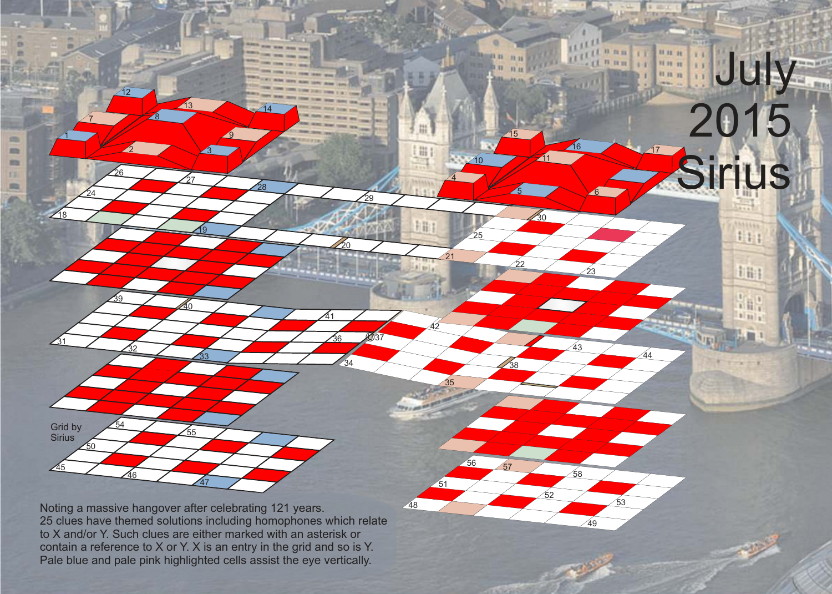25 clues have themed solutions including homophones which relate

57

56

4

甜

措

插

21

<u>35</u>

51

42

<u>48</u>

25

20

34

U

ัีวิค

<u>41</u>

.<br>29

58

 $52$ 

49

53

43

44

5 6

<u>30</u>

23

16 47

July

2015

Sirius

1511516  $111$ 

扫阳

 $1 -$ 1日  $1|11|$ 

 $10$   $711$ 

22

38

<u> 15</u>

Noting a massive hangover after celebrating 121 years. to X and/or Y. Such clues are either marked with an asterisk or contain a reference to X or Y. X is an entry in the grid and so is Y. Pale blue and pale pink highlighted cells assist the eye vertically.

47

55

6

7 8

26

 $_{32}$ 

 $46$ 

54

39

12

 $2 \times 3$ 

9

28

<u> 19</u>

33

40

27

13 44

1

**COL** 

m m 33 m

18

<u>31</u>

45

Grid by Sirius

 $\overline{50}$ 

24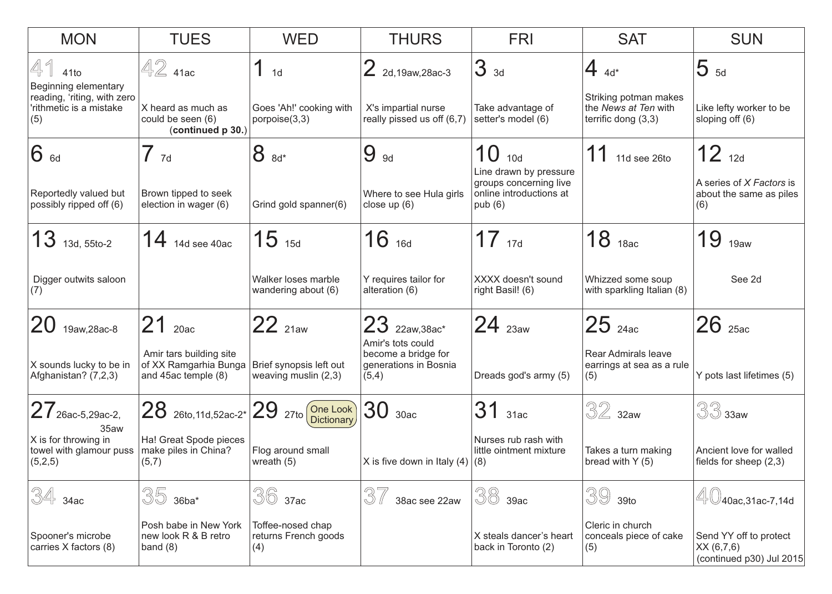| <b>MON</b>                                                         | <b>TUES</b>                                                             | <b>WED</b>                                        | <b>THURS</b>                                                               | <b>FRI</b>                                                                            | <b>SAT</b>                                                           | <b>SUN</b>                                                       |
|--------------------------------------------------------------------|-------------------------------------------------------------------------|---------------------------------------------------|----------------------------------------------------------------------------|---------------------------------------------------------------------------------------|----------------------------------------------------------------------|------------------------------------------------------------------|
| 41<br>41to<br>Beginning elementary                                 | $42$ 41ac                                                               | 1 <sub>d</sub>                                    | $2$ 2d,19aw,28ac-3                                                         | 3 <sub>3d</sub>                                                                       | $4_{4d*}$                                                            | $5_{5d}$                                                         |
| reading, 'riting, with zero<br>'rithmetic is a mistake<br>(5)      | X heard as much as<br>could be seen (6)<br>(continued p 30.)            | Goes 'Ah!' cooking with<br>porpoise $(3,3)$       | X's impartial nurse<br>really pissed us off (6,7)                          | Take advantage of<br>setter's model (6)                                               | Striking potman makes<br>the News at Ten with<br>terrific dong (3,3) | Like lefty worker to be<br>sloping off (6)                       |
| 6 6d                                                               | $7_{7d}$                                                                | 8<br>$8d*$                                        | 9<br><b>9d</b>                                                             | 10<br>10d                                                                             | 11<br>11d see 26to                                                   | $12_{12d}$                                                       |
| Reportedly valued but<br>possibly ripped off (6)                   | Brown tipped to seek<br>election in wager (6)                           | Grind gold spanner(6)                             | Where to see Hula girls<br>close up (6)                                    | Line drawn by pressure<br>groups concerning live<br>online introductions at<br>pub(6) |                                                                      | A series of X Factors is<br>about the same as piles<br>(6)       |
| $13$ 13d, 55to-2                                                   | 14<br>14d see 40ac                                                      | $15$ 15d                                          | $16$ 16d                                                                   | $17_{17d}$                                                                            | $18$ <sub>18ac</sub>                                                 | 19<br>19aw                                                       |
| Digger outwits saloon<br>(7)                                       |                                                                         | Walker loses marble<br>wandering about (6)        | Y requires tailor for<br>alteration (6)                                    | XXXX doesn't sound<br>right Basil! (6)                                                | Whizzed some soup<br>with sparkling Italian (8)                      | See 2d                                                           |
| 20<br>19aw, 28ac-8                                                 | 21<br>20ac                                                              | 22 21aw                                           | $23$ $22aw,38ac*$                                                          | $24$ $_{23aw}$                                                                        | $25$ $_{24ac}$                                                       | $26$ $_{25ac}$                                                   |
| X sounds lucky to be in<br>Afghanistan? (7,2,3)                    | Amir tars building site<br>of XX Ramgarhia Bunga<br>and 45ac temple (8) | Brief synopsis left out<br>weaving muslin $(2,3)$ | Amir's tots could<br>become a bridge for<br>generations in Bosnia<br>(5,4) | Dreads god's army (5)                                                                 | Rear Admirals leave<br>earrings at sea as a rule<br>(5)              | Y pots last lifetimes (5)                                        |
| $27$ 26ac-5,29ac-2,                                                | 28 26to, 11d, 52ac-2 <sup>*</sup> 29 27to One Look                      |                                                   | 30<br>30ac                                                                 | 31<br>31ac                                                                            | $32$ 32aw                                                            | $33$ axw                                                         |
| 35aw<br>X is for throwing in<br>towel with glamour puss<br>(5,2,5) | Ha! Great Spode pieces<br>make piles in China?<br>(5,7)                 | Flog around small<br>wreath $(5)$                 | X is five down in Italy $(4)$ $(8)$                                        | Nurses rub rash with<br>little ointment mixture                                       | Takes a turn making<br>bread with Y (5)                              | Ancient love for walled<br>fields for sheep (2,3)                |
| 34<br>34ac                                                         | 35<br>$36ba*$                                                           | 36<br>37ac                                        | 37<br>38ac see 22aw                                                        | 38<br>39ac                                                                            | 39<br>39to                                                           | <sup>"</sup> /40ac,31ac-7,14d                                    |
| Spooner's microbe<br>carries X factors (8)                         | Posh babe in New York<br>new look R & B retro<br>band $(8)$             | Toffee-nosed chap<br>returns French goods<br>(4)  |                                                                            | X steals dancer's heart<br>back in Toronto (2)                                        | Cleric in church<br>conceals piece of cake<br>(5)                    | Send YY off to protect<br>XX (6,7,6)<br>(continued p30) Jul 2015 |